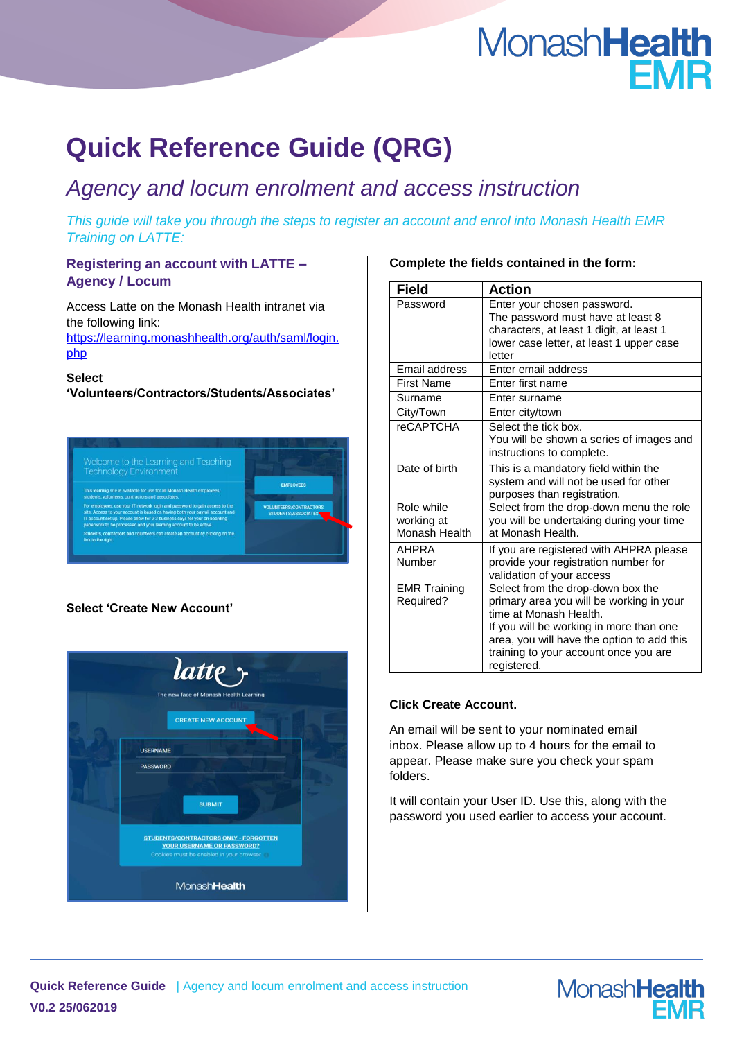# MonashHealth **FMR**

## **Quick Reference Guide (QRG)**

### *Agency and locum enrolment and access instruction*

*This guide will take you through the steps to register an account and enrol into Monash Health EMR Training on LATTE:*

#### **Registering an account with LATTE – Agency / Locum**

Access Latte on the Monash Health intranet via the following link: [https://learning.monashhealth.org/auth/saml/login.](https://learning.monashhealth.org/auth/saml/login.php) [php](https://learning.monashhealth.org/auth/saml/login.php)

#### **Select**

**'Volunteers/Contractors/Students/Associates'**



#### **Select 'Create New Account'**



#### **Complete the fields contained in the form:**

| <b>Field</b>        | <b>Action</b>                                                    |  |  |  |
|---------------------|------------------------------------------------------------------|--|--|--|
| Password            | Enter your chosen password.<br>The password must have at least 8 |  |  |  |
|                     | characters, at least 1 digit, at least 1                         |  |  |  |
|                     | lower case letter, at least 1 upper case                         |  |  |  |
|                     | letter                                                           |  |  |  |
| Email address       | Enter email address                                              |  |  |  |
| <b>First Name</b>   | Enter first name                                                 |  |  |  |
| Surname             | Enter surname                                                    |  |  |  |
| City/Town           | Enter city/town                                                  |  |  |  |
| <b>reCAPTCHA</b>    | Select the tick box.                                             |  |  |  |
|                     | You will be shown a series of images and                         |  |  |  |
|                     | instructions to complete.                                        |  |  |  |
| Date of birth       | This is a mandatory field within the                             |  |  |  |
|                     | system and will not be used for other                            |  |  |  |
|                     | purposes than registration.                                      |  |  |  |
| Role while          | Select from the drop-down menu the role                          |  |  |  |
| working at          | you will be undertaking during your time                         |  |  |  |
| Monash Health       | at Monash Health.                                                |  |  |  |
| AHPRA               | If you are registered with AHPRA please                          |  |  |  |
| Number              | provide your registration number for                             |  |  |  |
|                     | validation of your access                                        |  |  |  |
| <b>EMR Training</b> | Select from the drop-down box the                                |  |  |  |
| Required?           | primary area you will be working in your                         |  |  |  |
|                     | time at Monash Health.                                           |  |  |  |
|                     | If you will be working in more than one                          |  |  |  |
|                     | area, you will have the option to add this                       |  |  |  |
|                     | training to your account once you are                            |  |  |  |
|                     | registered.                                                      |  |  |  |

#### **Click Create Account.**

An email will be sent to your nominated email inbox. Please allow up to 4 hours for the email to appear. Please make sure you check your spam folders.

It will contain your User ID. Use this, along with the password you used earlier to access your account.

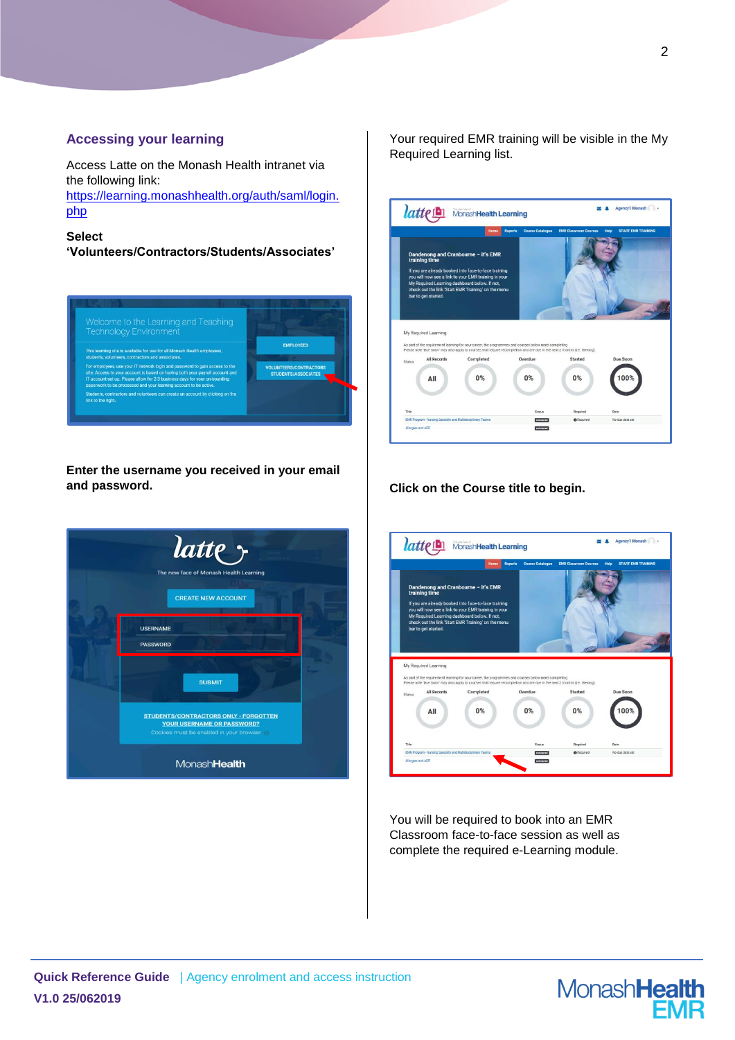#### **Accessing your learning**

Access Latte on the Monash Health intranet via the following link:

[https://learning.monashhealth.org/auth/saml/login.](https://learning.monashhealth.org/auth/saml/login.php) [php](https://learning.monashhealth.org/auth/saml/login.php)

**Select** 

**'Volunteers/Contractors/Students/Associates'**



**Enter the username you received in your email and password.**



Your required EMR training will be visible in the My Required Learning list.



#### **Click on the Course title to begin.**



You will be required to book into an EMR Classroom face-to-face session as well as complete the required e-Learning module.